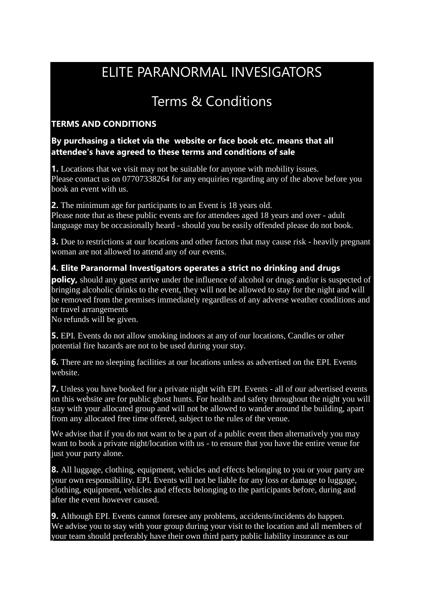# ELITE PARANORMAL INVESIGATORS

# Terms & Conditions

## **TERMS AND CONDITIONS**

#### **By purchasing a ticket via the website or face book etc. means that all attendee's have agreed to these terms and conditions of sale**

**1.** Locations that we visit may not be suitable for anyone with mobility issues. Please contact us on 07707338264 for any enquiries regarding any of the above before you book an event with us.

**2.** The minimum age for participants to an Event is 18 years old. Please note that as these public events are for attendees aged 18 years and over - adult language may be occasionally heard - should you be easily offended please do not book.

**3.** Due to restrictions at our locations and other factors that may cause risk - heavily pregnant woman are not allowed to attend any of our events.

#### **4. Elite Paranormal Investigators operates a strict no drinking and drugs**

**policy,** should any guest arrive under the influence of alcohol or drugs and/or is suspected of bringing alcoholic drinks to the event, they will not be allowed to stay for the night and will be removed from the premises immediately regardless of any adverse weather conditions and or travel arrangements

No refunds will be given.

**5.** EPI. Events do not allow smoking indoors at any of our locations, Candles or other potential fire hazards are not to be used during your stay.

**6.** There are no sleeping facilities at our locations unless as advertised on the EPI. Events website.

**7.** Unless you have booked for a private night with EPI. Events - all of our advertised events on this website are for public ghost hunts. For health and safety throughout the night you will stay with your allocated group and will not be allowed to wander around the building, apart from any allocated free time offered, subject to the rules of the venue.

We advise that if you do not want to be a part of a public event then alternatively you may want to book a private night/location with us - to ensure that you have the entire venue for just your party alone.

**8.** All luggage, clothing, equipment, vehicles and effects belonging to you or your party are your own responsibility. EPI. Events will not be liable for any loss or damage to luggage, clothing, equipment, vehicles and effects belonging to the participants before, during and after the event however caused.

**9.** Although EPI. Events cannot foresee any problems, accidents/incidents do happen. We advise you to stay with your group during your visit to the location and all members of your team should preferably have their own third party public liability insurance as our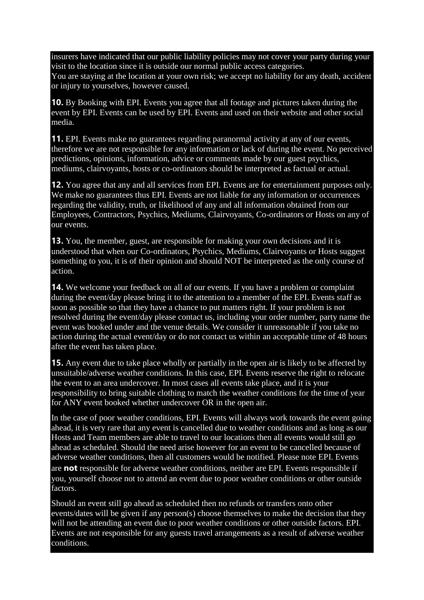insurers have indicated that our public liability policies may not cover your party during your visit to the location since it is outside our normal public access categories.

You are staying at the location at your own risk; we accept no liability for any death, accident or injury to yourselves, however caused.

**10.** By Booking with EPI. Events you agree that all footage and pictures taken during the event by EPI. Events can be used by EPI. Events and used on their website and other social media.

**11.** EPI. Events make no guarantees regarding paranormal activity at any of our events, therefore we are not responsible for any information or lack of during the event. No perceived predictions, opinions, information, advice or comments made by our guest psychics, mediums, clairvoyants, hosts or co-ordinators should be interpreted as factual or actual.

**12.** You agree that any and all services from EPI. Events are for entertainment purposes only. We make no guarantees thus EPI. Events are not liable for any information or occurrences regarding the validity, truth, or likelihood of any and all information obtained from our Employees, Contractors, Psychics, Mediums, Clairvoyants, Co-ordinators or Hosts on any of our events.

**13.** You, the member, guest, are responsible for making your own decisions and it is understood that when our Co-ordinators, Psychics, Mediums, Clairvoyants or Hosts suggest something to you, it is of their opinion and should NOT be interpreted as the only course of action.

**14.** We welcome your feedback on all of our events. If you have a problem or complaint during the event/day please bring it to the attention to a member of the EPI. Events staff as soon as possible so that they have a chance to put matters right. If your problem is not resolved during the event/day please contact us, including your order number, party name the event was booked under and the venue details. We consider it unreasonable if you take no action during the actual event/day or do not contact us within an acceptable time of 48 hours after the event has taken place.

**15.** Any event due to take place wholly or partially in the open air is likely to be affected by unsuitable/adverse weather conditions. In this case, EPI. Events reserve the right to relocate the event to an area undercover. In most cases all events take place, and it is your responsibility to bring suitable clothing to match the weather conditions for the time of year for ANY event booked whether undercover OR in the open air.

In the case of poor weather conditions, EPI. Events will always work towards the event going ahead, it is very rare that any event is cancelled due to weather conditions and as long as our Hosts and Team members are able to travel to our locations then all events would still go ahead as scheduled. Should the need arise however for an event to be cancelled because of adverse weather conditions, then all customers would be notified. Please note EPI. Events are **not** responsible for adverse weather conditions, neither are EPI. Events responsible if you, yourself choose not to attend an event due to poor weather conditions or other outside factors.

Should an event still go ahead as scheduled then no refunds or transfers onto other events/dates will be given if any person(s) choose themselves to make the decision that they will not be attending an event due to poor weather conditions or other outside factors. EPI. Events are not responsible for any guests travel arrangements as a result of adverse weather conditions.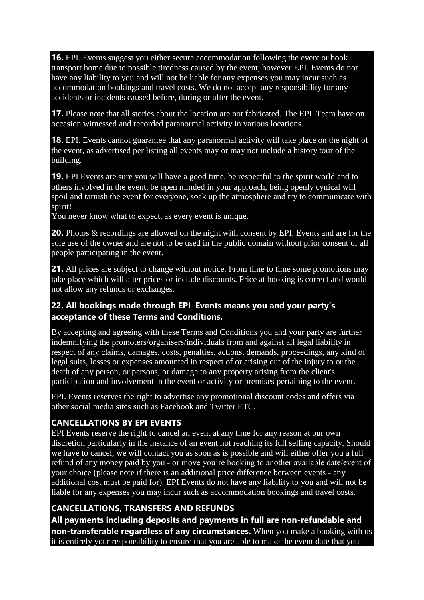**16.** EPI. Events suggest you either secure accommodation following the event or book transport home due to possible tiredness caused by the event, however EPI. Events do not have any liability to you and will not be liable for any expenses you may incur such as accommodation bookings and travel costs. We do not accept any responsibility for any accidents or incidents caused before, during or after the event.

**17.** Please note that all stories about the location are not fabricated. The EPI. Team have on occasion witnessed and recorded paranormal activity in various locations.

**18.** EPI. Events cannot guarantee that any paranormal activity will take place on the night of the event, as advertised per listing all events may or may not include a history tour of the building.

**19.** EPI Events are sure you will have a good time, be respectful to the spirit world and to others involved in the event, be open minded in your approach, being openly cynical will spoil and tarnish the event for everyone, soak up the atmosphere and try to communicate with spirit!

You never know what to expect, as every event is unique.

**20.** Photos & recordings are allowed on the night with consent by EPI. Events and are for the sole use of the owner and are not to be used in the public domain without prior consent of all people participating in the event.

**21.** All prices are subject to change without notice. From time to time some promotions may take place which will alter prices or include discounts. Price at booking is correct and would not allow any refunds or exchanges.

#### **22. All bookings made through EPI Events means you and your party's acceptance of these Terms and Conditions.**

By accepting and agreeing with these Terms and Conditions you and your party are further indemnifying the promoters/organisers/individuals from and against all legal liability in respect of any claims, damages, costs, penalties, actions, demands, proceedings, any kind of legal suits, losses or expenses amounted in respect of or arising out of the injury to or the death of any person, or persons, or damage to any property arising from the client's participation and involvement in the event or activity or premises pertaining to the event.

EPI. Events reserves the right to advertise any promotional discount codes and offers via other social media sites such as Facebook and Twitter ETC.

#### **CANCELLATIONS BY EPI EVENTS**

EPI Events reserve the right to cancel an event at any time for any reason at our own discretion particularly in the instance of an event not reaching its full selling capacity. Should we have to cancel, we will contact you as soon as is possible and will either offer you a full refund of any money paid by you - or move you're booking to another available date/event of your choice (please note if there is an additional price difference between events - any additional cost must be paid for). EPI Events do not have any liability to you and will not be liable for any expenses you may incur such as accommodation bookings and travel costs.

# **CANCELLATIONS, TRANSFERS AND REFUNDS**

**All payments including deposits and payments in full are non-refundable and non-transferable regardless of any circumstances.** When you make a booking with us it is entirely your responsibility to ensure that you are able to make the event date that you